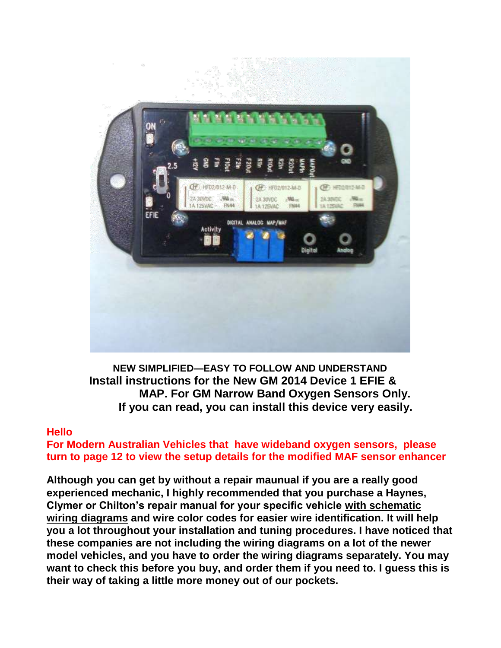

**NEW SIMPLIFIED—EASY TO FOLLOW AND UNDERSTAND Install instructions for the New GM 2014 Device 1 EFIE & MAP. For GM Narrow Band Oxygen Sensors Only. If you can read, you can install this device very easily.**

#### **Hello**

**For Modern Australian Vehicles that have wideband oxygen sensors, please turn to page 12 to view the setup details for the modified MAF sensor enhancer**

**Although you can get by without a repair maunual if you are a really good experienced mechanic, I highly recommended that you purchase a Haynes, Clymer or Chilton's repair manual for your specific vehicle with schematic wiring diagrams and wire color codes for easier wire identification. It will help you a lot throughout your installation and tuning procedures. I have noticed that these companies are not including the wiring diagrams on a lot of the newer model vehicles, and you have to order the wiring diagrams separately. You may want to check this before you buy, and order them if you need to. I guess this is their way of taking a little more money out of our pockets.**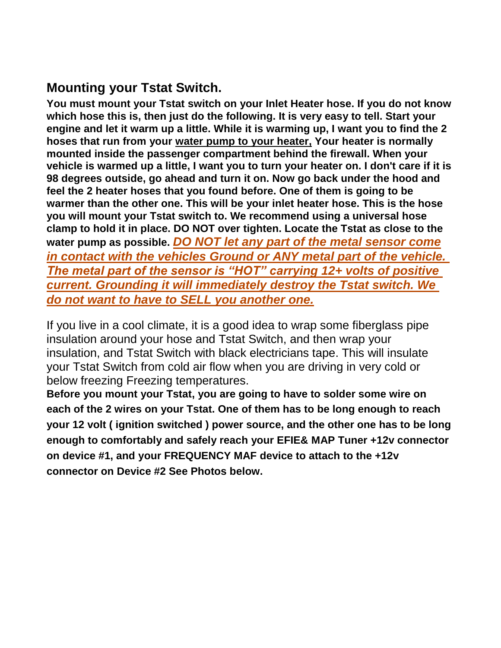# **Mounting your Tstat Switch.**

**You must mount your Tstat switch on your Inlet Heater hose. If you do not know which hose this is, then just do the following. It is very easy to tell. Start your engine and let it warm up a little. While it is warming up, I want you to find the 2 hoses that run from your water pump to your heater, Your heater is normally mounted inside the passenger compartment behind the firewall. When your vehicle is warmed up a little, I want you to turn your heater on. I don't care if it is 98 degrees outside, go ahead and turn it on. Now go back under the hood and feel the 2 heater hoses that you found before. One of them is going to be warmer than the other one. This will be your inlet heater hose. This is the hose you will mount your Tstat switch to. We recommend using a universal hose clamp to hold it in place. DO NOT over tighten. Locate the Tstat as close to the water pump as possible.** *DO NOT let any part of the metal sensor come in contact with the vehicles Ground or ANY metal part of the vehicle. The metal part of the sensor is "HOT" carrying 12+ volts of positive current. Grounding it will immediately destroy the Tstat switch. We do not want to have to SELL you another one.*

If you live in a cool climate, it is a good idea to wrap some fiberglass pipe insulation around your hose and Tstat Switch, and then wrap your insulation, and Tstat Switch with black electricians tape. This will insulate your Tstat Switch from cold air flow when you are driving in very cold or below freezing Freezing temperatures.

**Before you mount your Tstat, you are going to have to solder some wire on each of the 2 wires on your Tstat. One of them has to be long enough to reach your 12 volt ( ignition switched ) power source, and the other one has to be long enough to comfortably and safely reach your EFIE& MAP Tuner +12v connector on device #1, and your FREQUENCY MAF device to attach to the +12v connector on Device #2 See Photos below.**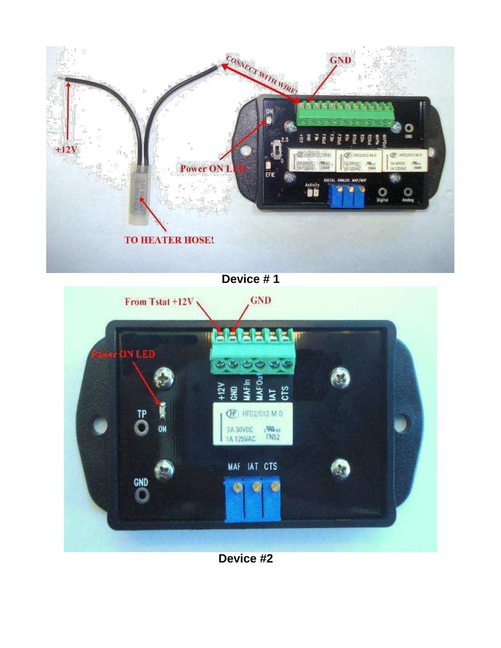

**Device # 1**



**Device #2**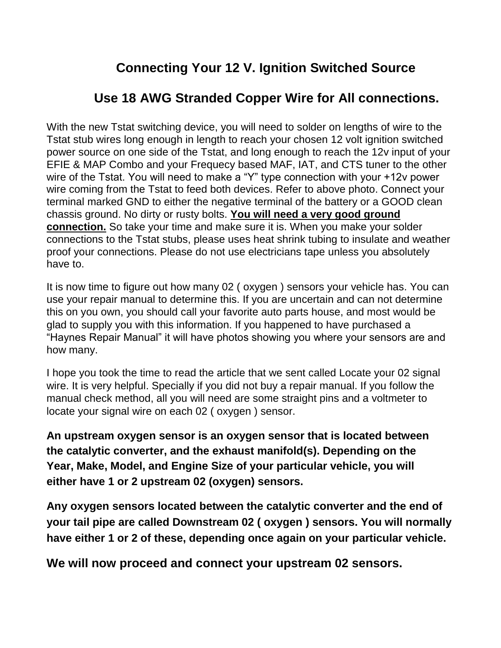# **Connecting Your 12 V. Ignition Switched Source**

# **Use 18 AWG Stranded Copper Wire for All connections.**

With the new Tstat switching device, you will need to solder on lengths of wire to the Tstat stub wires long enough in length to reach your chosen 12 volt ignition switched power source on one side of the Tstat, and long enough to reach the 12v input of your EFIE & MAP Combo and your Frequecy based MAF, IAT, and CTS tuner to the other wire of the Tstat. You will need to make a "Y" type connection with your +12v power wire coming from the Tstat to feed both devices. Refer to above photo. Connect your terminal marked GND to either the negative terminal of the battery or a GOOD clean chassis ground. No dirty or rusty bolts. **You will need a very good ground connection.** So take your time and make sure it is. When you make your solder connections to the Tstat stubs, please uses heat shrink tubing to insulate and weather proof your connections. Please do not use electricians tape unless you absolutely have to.

It is now time to figure out how many 02 ( oxygen ) sensors your vehicle has. You can use your repair manual to determine this. If you are uncertain and can not determine this on you own, you should call your favorite auto parts house, and most would be glad to supply you with this information. If you happened to have purchased a "Haynes Repair Manual" it will have photos showing you where your sensors are and how many.

I hope you took the time to read the article that we sent called Locate your 02 signal wire. It is very helpful. Specially if you did not buy a repair manual. If you follow the manual check method, all you will need are some straight pins and a voltmeter to locate your signal wire on each 02 ( oxygen ) sensor.

**An upstream oxygen sensor is an oxygen sensor that is located between the catalytic converter, and the exhaust manifold(s). Depending on the Year, Make, Model, and Engine Size of your particular vehicle, you will either have 1 or 2 upstream 02 (oxygen) sensors.**

**Any oxygen sensors located between the catalytic converter and the end of your tail pipe are called Downstream 02 ( oxygen ) sensors. You will normally have either 1 or 2 of these, depending once again on your particular vehicle.**

**We will now proceed and connect your upstream 02 sensors.**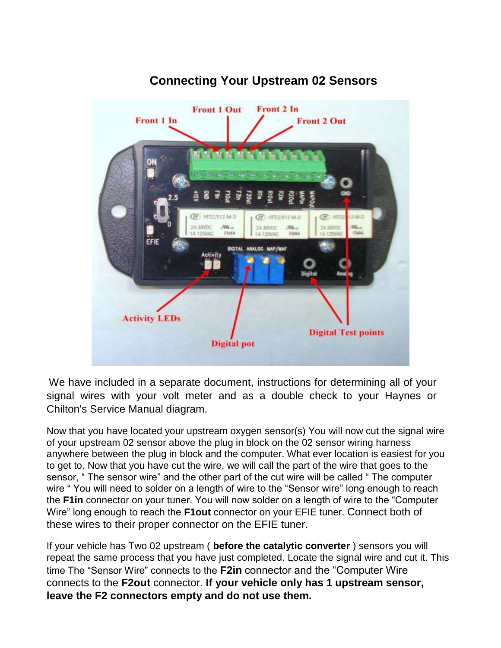

## **Connecting Your Upstream 02 Sensors**

We have included in a separate document, instructions for determining all of your signal wires with your volt meter and as a double check to your Haynes or Chilton's Service Manual diagram.

Now that you have located your upstream oxygen sensor(s) You will now cut the signal wire of your upstream 02 sensor above the plug in block on the 02 sensor wiring harness anywhere between the plug in block and the computer. What ever location is easiest for you to get to. Now that you have cut the wire, we will call the part of the wire that goes to the sensor, " The sensor wire" and the other part of the cut wire will be called " The computer wire " You will need to solder on a length of wire to the "Sensor wire" long enough to reach the **F1in** connector on your tuner. You will now solder on a length of wire to the "Computer Wire" long enough to reach the **F1out** connector on your EFIE tuner. Connect both of these wires to their proper connector on the EFIE tuner.

If your vehicle has Two 02 upstream ( **before the catalytic converter** ) sensors you will repeat the same process that you have just completed. Locate the signal wire and cut it. This time The "Sensor Wire" connects to the **F2in** connector and the "Computer Wire connects to the **F2out** connector. **If your vehicle only has 1 upstream sensor, leave the F2 connectors empty and do not use them.**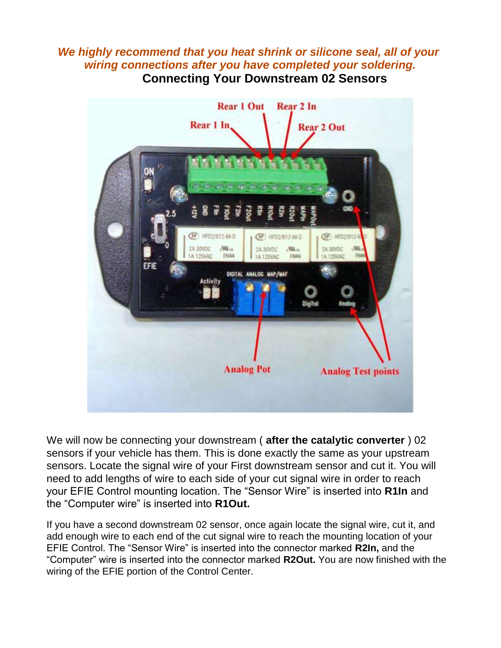#### *We highly recommend that you heat shrink or silicone seal, all of your wiring connections after you have completed your soldering.* **Connecting Your Downstream 02 Sensors**



We will now be connecting your downstream ( **after the catalytic converter** ) 02 sensors if your vehicle has them. This is done exactly the same as your upstream sensors. Locate the signal wire of your First downstream sensor and cut it. You will need to add lengths of wire to each side of your cut signal wire in order to reach your EFIE Control mounting location. The "Sensor Wire" is inserted into **R1In** and the "Computer wire" is inserted into **R1Out.**

If you have a second downstream 02 sensor, once again locate the signal wire, cut it, and add enough wire to each end of the cut signal wire to reach the mounting location of your EFIE Control. The "Sensor Wire" is inserted into the connector marked **R2In,** and the "Computer" wire is inserted into the connector marked **R2Out.** You are now finished with the wiring of the EFIE portion of the Control Center.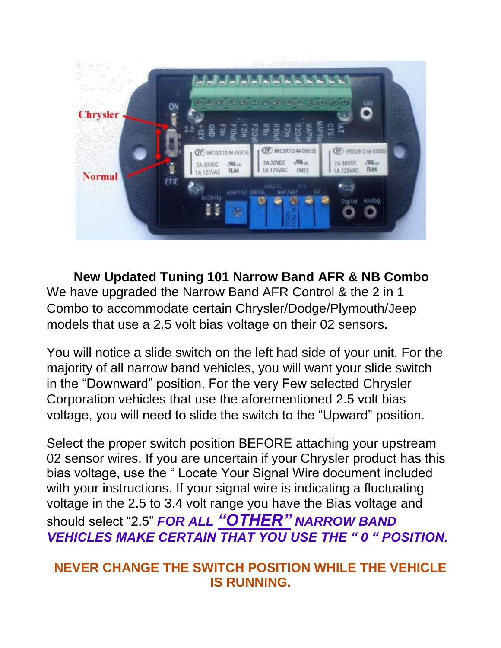

**New Updated Tuning 101 Narrow Band AFR & NB Combo** We have upgraded the Narrow Band AFR Control & the 2 in 1 Combo to accommodate certain Chrysler/Dodge/Plymouth/Jeep models that use a 2.5 volt bias voltage on their 02 sensors.

You will notice a slide switch on the left had side of your unit. For the majority of all narrow band vehicles, you will want your slide switch in the "Downward" position. For the very Few selected Chrysler Corporation vehicles that use the aforementioned 2.5 volt bias voltage, you will need to slide the switch to the "Upward" position.

Select the proper switch position BEFORE attaching your upstream 02 sensor wires. If you are uncertain if your Chrysler product has this bias voltage, use the " Locate Your Signal Wire document included with your instructions. If your signal wire is indicating a fluctuating voltage in the 2.5 to 3.4 volt range you have the Bias voltage and should select "2.5" *FOR ALL "OTHER" NARROW BAND VEHICLES MAKE CERTAIN THAT YOU USE THE " 0 " POSITION.*

# **NEVER CHANGE THE SWITCH POSITION WHILE THE VEHICLE IS RUNNING.**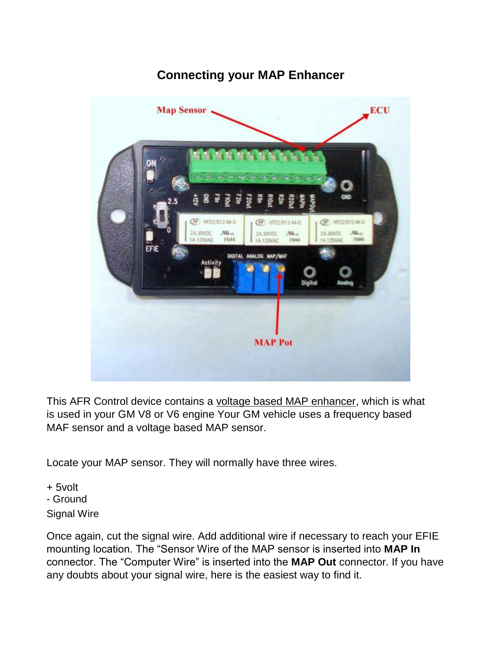## **Connecting your MAP Enhancer**



This AFR Control device contains a voltage based MAP enhancer, which is what is used in your GM V8 or V6 engine Your GM vehicle uses a frequency based MAF sensor and a voltage based MAP sensor.

Locate your MAP sensor. They will normally have three wires.

+ 5volt - Ground Signal Wire

Once again, cut the signal wire. Add additional wire if necessary to reach your EFIE mounting location. The "Sensor Wire of the MAP sensor is inserted into **MAP In** connector. The "Computer Wire" is inserted into the **MAP Out** connector. If you have any doubts about your signal wire, here is the easiest way to find it.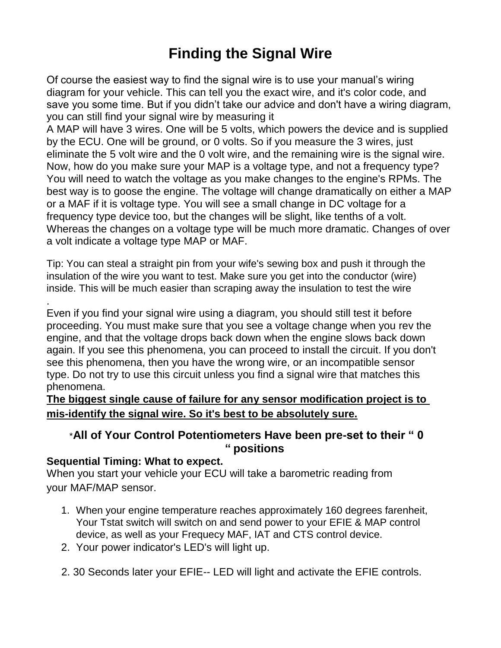# **Finding the Signal Wire**

Of course the easiest way to find the signal wire is to use your manual's wiring diagram for your vehicle. This can tell you the exact wire, and it's color code, and save you some time. But if you didn't take our advice and don't have a wiring diagram, you can still find your signal wire by measuring it

A MAP will have 3 wires. One will be 5 volts, which powers the device and is supplied by the ECU. One will be ground, or 0 volts. So if you measure the 3 wires, just eliminate the 5 volt wire and the 0 volt wire, and the remaining wire is the signal wire. Now, how do you make sure your MAP is a voltage type, and not a frequency type? You will need to watch the voltage as you make changes to the engine's RPMs. The best way is to goose the engine. The voltage will change dramatically on either a MAP or a MAF if it is voltage type. You will see a small change in DC voltage for a frequency type device too, but the changes will be slight, like tenths of a volt. Whereas the changes on a voltage type will be much more dramatic. Changes of over a volt indicate a voltage type MAP or MAF.

Tip: You can steal a straight pin from your wife's sewing box and push it through the insulation of the wire you want to test. Make sure you get into the conductor (wire) inside. This will be much easier than scraping away the insulation to test the wire

Even if you find your signal wire using a diagram, you should still test it before proceeding. You must make sure that you see a voltage change when you rev the engine, and that the voltage drops back down when the engine slows back down again. If you see this phenomena, you can proceed to install the circuit. If you don't see this phenomena, then you have the wrong wire, or an incompatible sensor type. Do not try to use this circuit unless you find a signal wire that matches this phenomena.

**The biggest single cause of failure for any sensor modification project is to mis-identify the signal wire. So it's best to be absolutely sure.**

#### \***All of Your Control Potentiometers Have been pre-set to their " 0 " positions**

#### **Sequential Timing: What to expect.**

.

When you start your vehicle your ECU will take a barometric reading from your MAF/MAP sensor.

- 1. When your engine temperature reaches approximately 160 degrees farenheit, Your Tstat switch will switch on and send power to your EFIE & MAP control device, as well as your Frequecy MAF, IAT and CTS control device.
- 2. Your power indicator's LED's will light up.
- 2. 30 Seconds later your EFIE-- LED will light and activate the EFIE controls.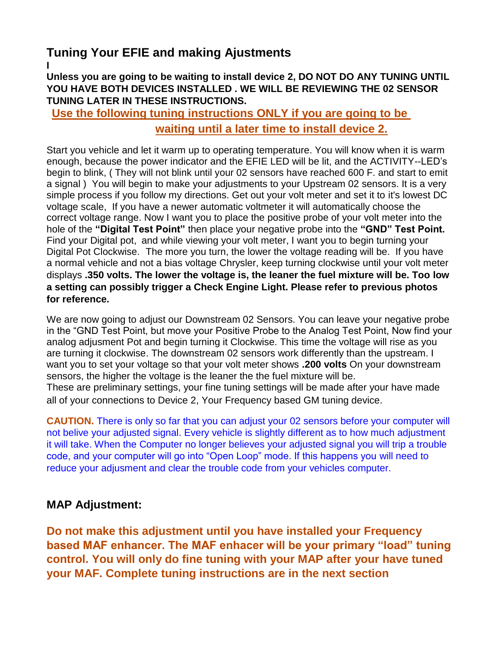# **Tuning Your EFIE and making Ajustments**

**I Unless you are going to be waiting to install device 2, DO NOT DO ANY TUNING UNTIL YOU HAVE BOTH DEVICES INSTALLED . WE WILL BE REVIEWING THE 02 SENSOR TUNING LATER IN THESE INSTRUCTIONS.**

**Use the following tuning instructions ONLY if you are going to be waiting until a later time to install device 2.**

Start you vehicle and let it warm up to operating temperature. You will know when it is warm enough, because the power indicator and the EFIE LED will be lit, and the ACTIVITY--LED's begin to blink, ( They will not blink until your 02 sensors have reached 600 F. and start to emit a signal ) You will begin to make your adjustments to your Upstream 02 sensors. It is a very simple process if you follow my directions. Get out your volt meter and set it to it's lowest DC voltage scale, If you have a newer automatic voltmeter it will automatically choose the correct voltage range. Now I want you to place the positive probe of your volt meter into the hole of the **"Digital Test Point"** then place your negative probe into the **"GND" Test Point.** Find your Digital pot, and while viewing your volt meter, I want you to begin turning your Digital Pot Clockwise. The more you turn, the lower the voltage reading will be. If you have a normal vehicle and not a bias voltage Chrysler, keep turning clockwise until your volt meter displays **.350 volts. The lower the voltage is, the leaner the fuel mixture will be. Too low a setting can possibly trigger a Check Engine Light. Please refer to previous photos for reference.**

We are now going to adjust our Downstream 02 Sensors. You can leave your negative probe in the "GND Test Point, but move your Positive Probe to the Analog Test Point, Now find your analog adjusment Pot and begin turning it Clockwise. This time the voltage will rise as you are turning it clockwise. The downstream 02 sensors work differently than the upstream. I want you to set your voltage so that your volt meter shows **.200 volts** On your downstream sensors, the higher the voltage is the leaner the the fuel mixture will be. These are preliminary settings, your fine tuning settings will be made after your have made all of your connections to Device 2, Your Frequency based GM tuning device.

**CAUTION.** There is only so far that you can adjust your 02 sensors before your computer will not belive your adjusted signal. Every vehicle is slightly different as to how much adjustment it will take. When the Computer no longer believes your adjusted signal you will trip a trouble code, and your computer will go into "Open Loop" mode. If this happens you will need to reduce your adjusment and clear the trouble code from your vehicles computer.

#### **MAP Adjustment:**

**Do not make this adjustment until you have installed your Frequency based MAF enhancer. The MAF enhacer will be your primary "load" tuning control. You will only do fine tuning with your MAP after your have tuned your MAF. Complete tuning instructions are in the next section**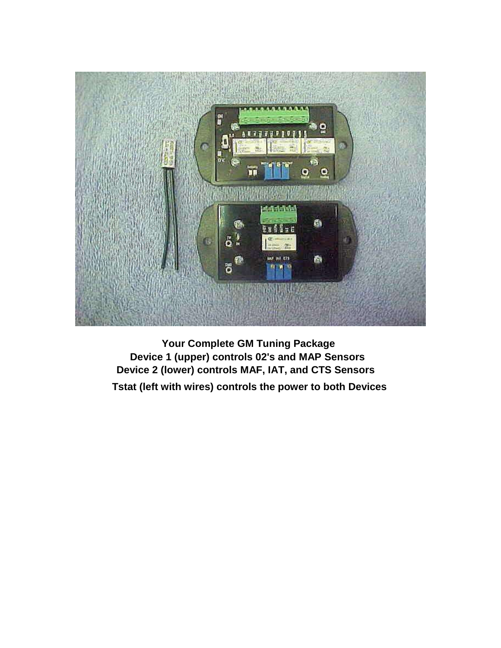

**Your Complete GM Tuning Package Device 1 (upper) controls 02's and MAP Sensors Device 2 (lower) controls MAF, IAT, and CTS Sensors Tstat (left with wires) controls the power to both Devices**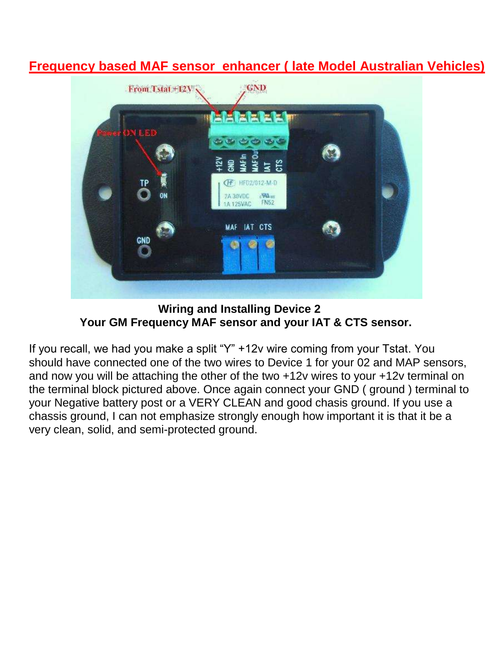## **Frequency based MAF sensor enhancer ( late Model Australian Vehicles)**



**Wiring and Installing Device 2 Your GM Frequency MAF sensor and your IAT & CTS sensor.**

If you recall, we had you make a split "Y" +12v wire coming from your Tstat. You should have connected one of the two wires to Device 1 for your 02 and MAP sensors, and now you will be attaching the other of the two +12v wires to your +12v terminal on the terminal block pictured above. Once again connect your GND ( ground ) terminal to your Negative battery post or a VERY CLEAN and good chasis ground. If you use a chassis ground, I can not emphasize strongly enough how important it is that it be a very clean, solid, and semi-protected ground.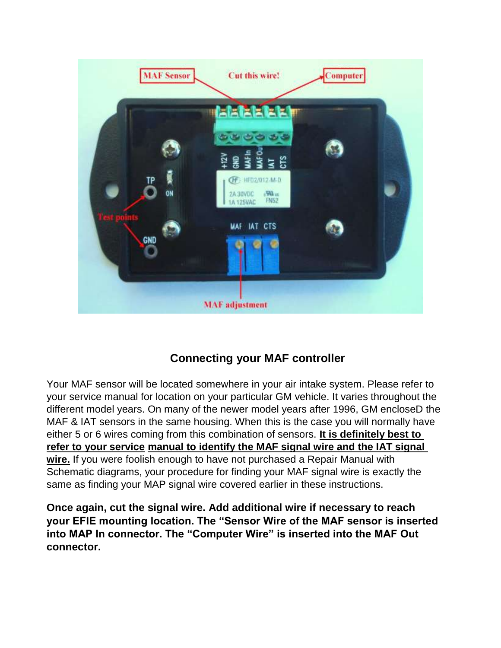

## **Connecting your MAF controller**

Your MAF sensor will be located somewhere in your air intake system. Please refer to your service manual for location on your particular GM vehicle. It varies throughout the different model years. On many of the newer model years after 1996, GM encloseD the MAF & IAT sensors in the same housing. When this is the case you will normally have either 5 or 6 wires coming from this combination of sensors. **It is definitely best to refer to your service manual to identify the MAF signal wire and the IAT signal wire.** If you were foolish enough to have not purchased a Repair Manual with Schematic diagrams, your procedure for finding your MAF signal wire is exactly the same as finding your MAP signal wire covered earlier in these instructions.

**Once again, cut the signal wire. Add additional wire if necessary to reach your EFIE mounting location. The "Sensor Wire of the MAF sensor is inserted into MAP In connector. The "Computer Wire" is inserted into the MAF Out connector.**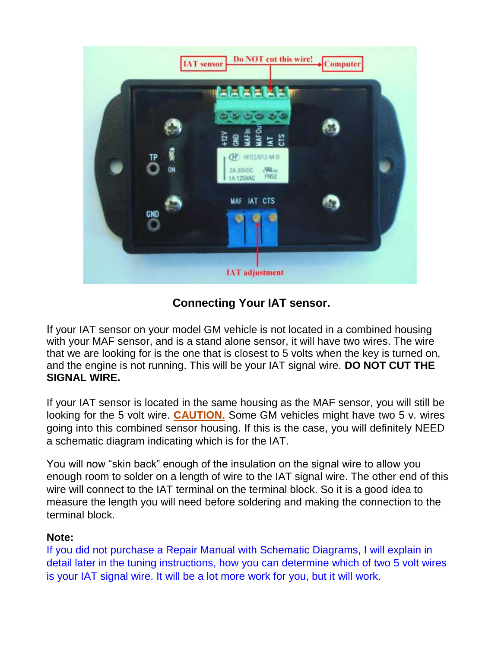

## **Connecting Your IAT sensor.**

If your IAT sensor on your model GM vehicle is not located in a combined housing with your MAF sensor, and is a stand alone sensor, it will have two wires. The wire that we are looking for is the one that is closest to 5 volts when the key is turned on, and the engine is not running. This will be your IAT signal wire. **DO NOT CUT THE SIGNAL WIRE.**

If your IAT sensor is located in the same housing as the MAF sensor, you will still be looking for the 5 volt wire. **CAUTION.** Some GM vehicles might have two 5 v. wires going into this combined sensor housing. If this is the case, you will definitely NEED a schematic diagram indicating which is for the IAT.

You will now "skin back" enough of the insulation on the signal wire to allow you enough room to solder on a length of wire to the IAT signal wire. The other end of this wire will connect to the IAT terminal on the terminal block. So it is a good idea to measure the length you will need before soldering and making the connection to the terminal block.

#### **Note:**

If you did not purchase a Repair Manual with Schematic Diagrams, I will explain in detail later in the tuning instructions, how you can determine which of two 5 volt wires is your IAT signal wire. It will be a lot more work for you, but it will work.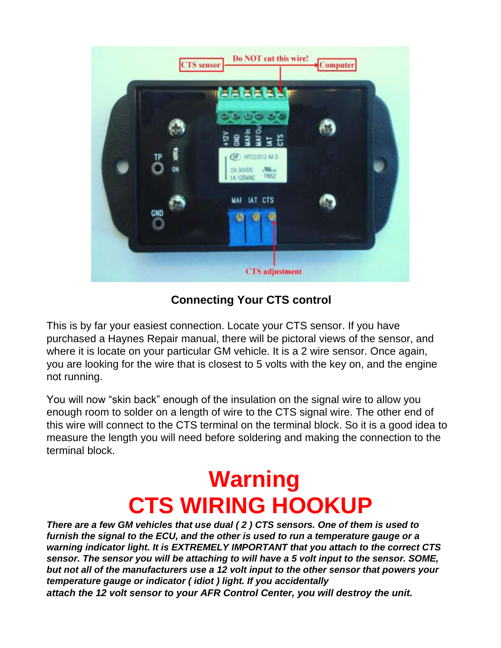

**Connecting Your CTS control**

This is by far your easiest connection. Locate your CTS sensor. If you have purchased a Haynes Repair manual, there will be pictoral views of the sensor, and where it is locate on your particular GM vehicle. It is a 2 wire sensor. Once again, you are looking for the wire that is closest to 5 volts with the key on, and the engine not running.

You will now "skin back" enough of the insulation on the signal wire to allow you enough room to solder on a length of wire to the CTS signal wire. The other end of this wire will connect to the CTS terminal on the terminal block. So it is a good idea to measure the length you will need before soldering and making the connection to the terminal block.

# **Warning CTS WIRING HOOKUP**

*There are a few GM vehicles that use dual ( 2 ) CTS sensors. One of them is used to furnish the signal to the ECU, and the other is used to run a temperature gauge or a warning indicator light. It is EXTREMELY IMPORTANT that you attach to the correct CTS sensor. The sensor you will be attaching to will have a 5 volt input to the sensor. SOME, but not all of the manufacturers use a 12 volt input to the other sensor that powers your temperature gauge or indicator ( idiot ) light. If you accidentally attach the 12 volt sensor to your AFR Control Center, you will destroy the unit.*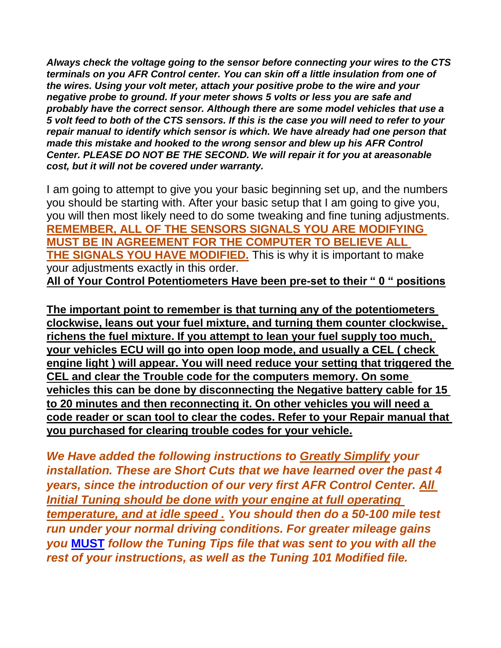*Always check the voltage going to the sensor before connecting your wires to the CTS terminals on you AFR Control center. You can skin off a little insulation from one of the wires. Using your volt meter, attach your positive probe to the wire and your negative probe to ground. If your meter shows 5 volts or less you are safe and probably have the correct sensor. Although there are some model vehicles that use a 5 volt feed to both of the CTS sensors. If this is the case you will need to refer to your repair manual to identify which sensor is which. We have already had one person that made this mistake and hooked to the wrong sensor and blew up his AFR Control Center. PLEASE DO NOT BE THE SECOND. We will repair it for you at areasonable cost, but it will not be covered under warranty.*

I am going to attempt to give you your basic beginning set up, and the numbers you should be starting with. After your basic setup that I am going to give you, you will then most likely need to do some tweaking and fine tuning adjustments. **REMEMBER, ALL OF THE SENSORS SIGNALS YOU ARE MODIFYING MUST BE IN AGREEMENT FOR THE COMPUTER TO BELIEVE ALL THE SIGNALS YOU HAVE MODIFIED.** This is why it is important to make your adjustments exactly in this order. **All of Your Control Potentiometers Have been pre-set to their " 0 " positions**

**The important point to remember is that turning any of the potentiometers clockwise, leans out your fuel mixture, and turning them counter clockwise, richens the fuel mixture. If you attempt to lean your fuel supply too much, your vehicles ECU will go into open loop mode, and usually a CEL ( check engine light ) will appear. You will need reduce your setting that triggered the CEL and clear the Trouble code for the computers memory. On some vehicles this can be done by disconnecting the Negative battery cable for 15 to 20 minutes and then reconnecting it. On other vehicles you will need a code reader or scan tool to clear the codes. Refer to your Repair manual that you purchased for clearing trouble codes for your vehicle.**

*We Have added the following instructions to Greatly Simplify your installation. These are Short Cuts that we have learned over the past 4 years, since the introduction of our very first AFR Control Center. All Initial Tuning should be done with your engine at full operating temperature, and at idle speed . You should then do a 50-100 mile test run under your normal driving conditions. For greater mileage gains you* **MUST** *follow the Tuning Tips file that was sent to you with all the rest of your instructions, as well as the Tuning 101 Modified file.*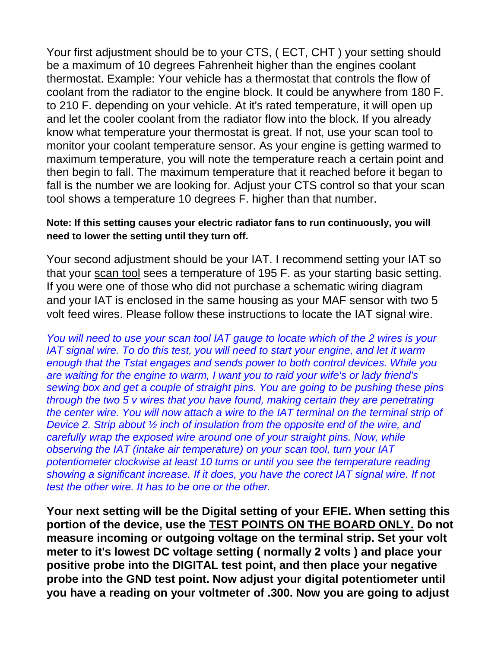Your first adjustment should be to your CTS, ( ECT, CHT ) your setting should be a maximum of 10 degrees Fahrenheit higher than the engines coolant thermostat. Example: Your vehicle has a thermostat that controls the flow of coolant from the radiator to the engine block. It could be anywhere from 180 F. to 210 F. depending on your vehicle. At it's rated temperature, it will open up and let the cooler coolant from the radiator flow into the block. If you already know what temperature your thermostat is great. If not, use your scan tool to monitor your coolant temperature sensor. As your engine is getting warmed to maximum temperature, you will note the temperature reach a certain point and then begin to fall. The maximum temperature that it reached before it began to fall is the number we are looking for. Adjust your CTS control so that your scan tool shows a temperature 10 degrees F. higher than that number.

#### **Note: If this setting causes your electric radiator fans to run continuously, you will need to lower the setting until they turn off.**

Your second adjustment should be your IAT. I recommend setting your IAT so that your scan tool sees a temperature of 195 F. as your starting basic setting. If you were one of those who did not purchase a schematic wiring diagram and your IAT is enclosed in the same housing as your MAF sensor with two 5 volt feed wires. Please follow these instructions to locate the IAT signal wire.

*You will need to use your scan tool IAT gauge to locate which of the 2 wires is your IAT signal wire. To do this test, you will need to start your engine, and let it warm enough that the Tstat engages and sends power to both control devices. While you are waiting for the engine to warm, I want you to raid your wife's or lady friend's sewing box and get a couple of straight pins. You are going to be pushing these pins through the two 5 v wires that you have found, making certain they are penetrating the center wire. You will now attach a wire to the IAT terminal on the terminal strip of Device 2. Strip about ½ inch of insulation from the opposite end of the wire, and carefully wrap the exposed wire around one of your straight pins. Now, while observing the IAT (intake air temperature) on your scan tool, turn your IAT potentiometer clockwise at least 10 turns or until you see the temperature reading showing a significant increase. If it does, you have the corect IAT signal wire. If not test the other wire. It has to be one or the other.*

**Your next setting will be the Digital setting of your EFIE. When setting this portion of the device, use the TEST POINTS ON THE BOARD ONLY. Do not measure incoming or outgoing voltage on the terminal strip. Set your volt meter to it's lowest DC voltage setting ( normally 2 volts ) and place your positive probe into the DIGITAL test point, and then place your negative probe into the GND test point. Now adjust your digital potentiometer until you have a reading on your voltmeter of .300. Now you are going to adjust**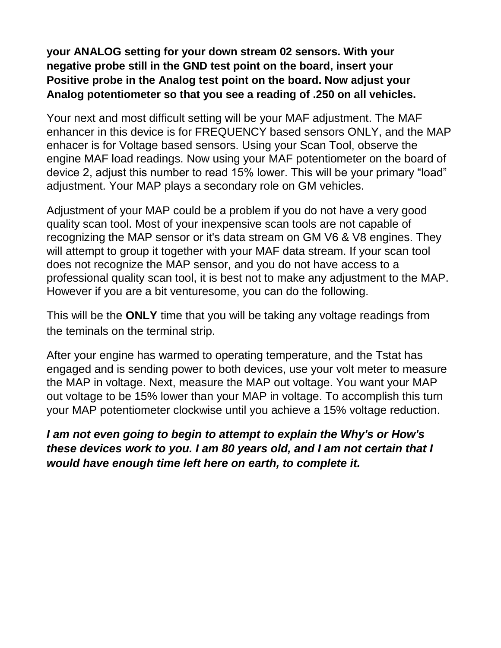**your ANALOG setting for your down stream 02 sensors. With your negative probe still in the GND test point on the board, insert your Positive probe in the Analog test point on the board. Now adjust your Analog potentiometer so that you see a reading of .250 on all vehicles.**

Your next and most difficult setting will be your MAF adjustment. The MAF enhancer in this device is for FREQUENCY based sensors ONLY, and the MAP enhacer is for Voltage based sensors. Using your Scan Tool, observe the engine MAF load readings. Now using your MAF potentiometer on the board of device 2, adjust this number to read 15% lower. This will be your primary "load" adjustment. Your MAP plays a secondary role on GM vehicles.

Adjustment of your MAP could be a problem if you do not have a very good quality scan tool. Most of your inexpensive scan tools are not capable of recognizing the MAP sensor or it's data stream on GM V6 & V8 engines. They will attempt to group it together with your MAF data stream. If your scan tool does not recognize the MAP sensor, and you do not have access to a professional quality scan tool, it is best not to make any adjustment to the MAP. However if you are a bit venturesome, you can do the following.

This will be the **ONLY** time that you will be taking any voltage readings from the teminals on the terminal strip.

After your engine has warmed to operating temperature, and the Tstat has engaged and is sending power to both devices, use your volt meter to measure the MAP in voltage. Next, measure the MAP out voltage. You want your MAP out voltage to be 15% lower than your MAP in voltage. To accomplish this turn your MAP potentiometer clockwise until you achieve a 15% voltage reduction.

### *I am not even going to begin to attempt to explain the Why's or How's these devices work to you. I am 80 years old, and I am not certain that I would have enough time left here on earth, to complete it.*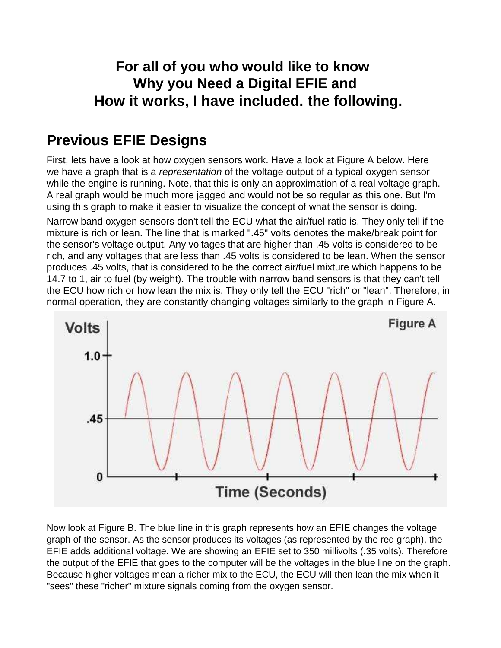# **For all of you who would like to know Why you Need a Digital EFIE and How it works, I have included. the following.**

# **Previous EFIE Designs**

First, lets have a look at how oxygen sensors work. Have a look at Figure A below. Here we have a graph that is a *representation* of the voltage output of a typical oxygen sensor while the engine is running. Note, that this is only an approximation of a real voltage graph. A real graph would be much more jagged and would not be so regular as this one. But I'm using this graph to make it easier to visualize the concept of what the sensor is doing. Narrow band oxygen sensors don't tell the ECU what the air/fuel ratio is. They only tell if the mixture is rich or lean. The line that is marked ".45" volts denotes the make/break point for the sensor's voltage output. Any voltages that are higher than .45 volts is considered to be rich, and any voltages that are less than .45 volts is considered to be lean. When the sensor produces .45 volts, that is considered to be the correct air/fuel mixture which happens to be 14.7 to 1, air to fuel (by weight). The trouble with narrow band sensors is that they can't tell the ECU how rich or how lean the mix is. They only tell the ECU "rich" or "lean". Therefore, in normal operation, they are constantly changing voltages similarly to the graph in Figure A.



Now look at Figure B. The blue line in this graph represents how an EFIE changes the voltage graph of the sensor. As the sensor produces its voltages (as represented by the red graph), the EFIE adds additional voltage. We are showing an EFIE set to 350 millivolts (.35 volts). Therefore the output of the EFIE that goes to the computer will be the voltages in the blue line on the graph. Because higher voltages mean a richer mix to the ECU, the ECU will then lean the mix when it "sees" these "richer" mixture signals coming from the oxygen sensor.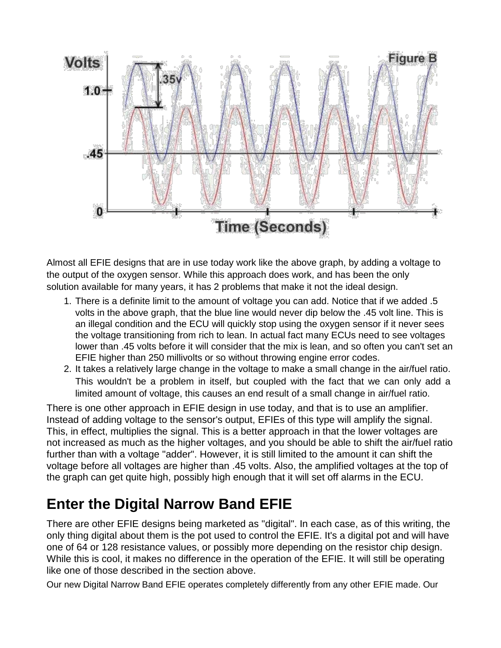

Almost all EFIE designs that are in use today work like the above graph, by adding a voltage to the output of the oxygen sensor. While this approach does work, and has been the only solution available for many years, it has 2 problems that make it not the ideal design.

- 1. There is a definite limit to the amount of voltage you can add. Notice that if we added .5 volts in the above graph, that the blue line would never dip below the .45 volt line. This is an illegal condition and the ECU will quickly stop using the oxygen sensor if it never sees the voltage transitioning from rich to lean. In actual fact many ECUs need to see voltages lower than .45 volts before it will consider that the mix is lean, and so often you can't set an EFIE higher than 250 millivolts or so without throwing engine error codes.
- 2. It takes a relatively large change in the voltage to make a small change in the air/fuel ratio. This wouldn't be a problem in itself, but coupled with the fact that we can only add a limited amount of voltage, this causes an end result of a small change in air/fuel ratio.

There is one other approach in EFIE design in use today, and that is to use an amplifier. Instead of adding voltage to the sensor's output, EFIEs of this type will amplify the signal. This, in effect, multiplies the signal. This is a better approach in that the lower voltages are not increased as much as the higher voltages, and you should be able to shift the air/fuel ratio further than with a voltage "adder". However, it is still limited to the amount it can shift the voltage before all voltages are higher than .45 volts. Also, the amplified voltages at the top of the graph can get quite high, possibly high enough that it will set off alarms in the ECU.

# **Enter the Digital Narrow Band EFIE**

There are other EFIE designs being marketed as "digital". In each case, as of this writing, the only thing digital about them is the pot used to control the EFIE. It's a digital pot and will have one of 64 or 128 resistance values, or possibly more depending on the resistor chip design. While this is cool, it makes no difference in the operation of the EFIE. It will still be operating like one of those described in the section above.

Our new Digital Narrow Band EFIE operates completely differently from any other EFIE made. Our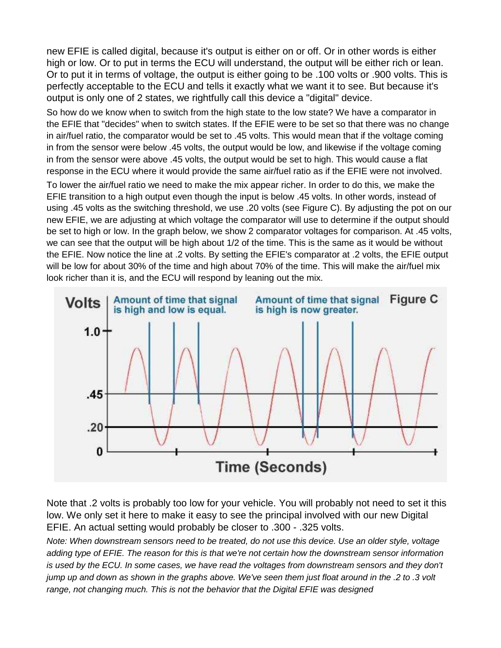new EFIE is called digital, because it's output is either on or off. Or in other words is either high or low. Or to put in terms the ECU will understand, the output will be either rich or lean. Or to put it in terms of voltage, the output is either going to be .100 volts or .900 volts. This is perfectly acceptable to the ECU and tells it exactly what we want it to see. But because it's output is only one of 2 states, we rightfully call this device a "digital" device.

So how do we know when to switch from the high state to the low state? We have a comparator in the EFIE that "decides" when to switch states. If the EFIE were to be set so that there was no change in air/fuel ratio, the comparator would be set to .45 volts. This would mean that if the voltage coming in from the sensor were below .45 volts, the output would be low, and likewise if the voltage coming in from the sensor were above .45 volts, the output would be set to high. This would cause a flat response in the ECU where it would provide the same air/fuel ratio as if the EFIE were not involved.

To lower the air/fuel ratio we need to make the mix appear richer. In order to do this, we make the EFIE transition to a high output even though the input is below .45 volts. In other words, instead of using .45 volts as the switching threshold, we use .20 volts (see Figure C). By adjusting the pot on our new EFIE, we are adjusting at which voltage the comparator will use to determine if the output should be set to high or low. In the graph below, we show 2 comparator voltages for comparison. At .45 volts, we can see that the output will be high about 1/2 of the time. This is the same as it would be without the EFIE. Now notice the line at .2 volts. By setting the EFIE's comparator at .2 volts, the EFIE output will be low for about 30% of the time and high about 70% of the time. This will make the air/fuel mix look richer than it is, and the ECU will respond by leaning out the mix.



Note that .2 volts is probably too low for your vehicle. You will probably not need to set it this low. We only set it here to make it easy to see the principal involved with our new Digital EFIE. An actual setting would probably be closer to .300 - .325 volts.

*Note: When downstream sensors need to be treated, do not use this device. Use an older style, voltage adding type of EFIE. The reason for this is that we're not certain how the downstream sensor information is used by the ECU. In some cases, we have read the voltages from downstream sensors and they don't jump up and down as shown in the graphs above. We've seen them just float around in the .2 to .3 volt range, not changing much. This is not the behavior that the Digital EFIE was designed*